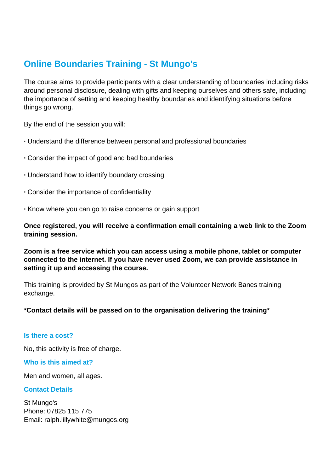# **Online Boundaries Training - St Mungo's**

The course aims to provide participants with a clear understanding of boundaries including risks around personal disclosure, dealing with gifts and keeping ourselves and others safe, including the importance of setting and keeping healthy boundaries and identifying situations before things go wrong.

By the end of the session you will:

- **·** Understand the difference between personal and professional boundaries
- **·** Consider the impact of good and bad boundaries
- **·** Understand how to identify boundary crossing
- **·** Consider the importance of confidentiality
- **·** Know where you can go to raise concerns or gain support

**Once registered, you will receive a confirmation email containing a web link to the Zoom training session.**

**Zoom is a free service which you can access using a mobile phone, tablet or computer connected to the internet. If you have never used Zoom, we can provide assistance in setting it up and accessing the course.**

This training is provided by St Mungos as part of the Volunteer Network Banes training exchange.

#### **\*Contact details will be passed on to the organisation delivering the training\***

#### **Is there a cost?**

No, this activity is free of charge.

#### **Who is this aimed at?**

Men and women, all ages.

#### **Contact Details**

St Mungo's Phone: 07825 115 775 Email: ralph.lillywhite@mungos.org